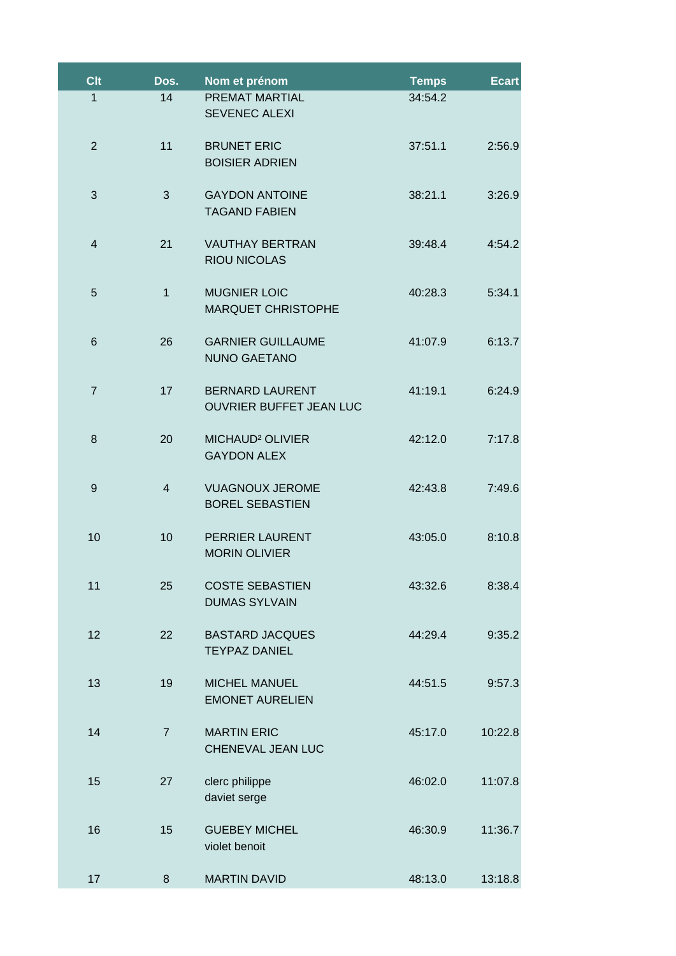| <b>Clt</b>     | Dos.           | Nom et prénom                                            | <b>Temps</b> | <b>Ecart</b> |
|----------------|----------------|----------------------------------------------------------|--------------|--------------|
| 1              | 14             | PREMAT MARTIAL<br><b>SEVENEC ALEXI</b>                   | 34:54.2      |              |
| $\overline{2}$ | 11             | <b>BRUNET ERIC</b><br><b>BOISIER ADRIEN</b>              | 37:51.1      | 2:56.9       |
| 3              | 3              | <b>GAYDON ANTOINE</b><br><b>TAGAND FABIEN</b>            | 38:21.1      | 3:26.9       |
| $\overline{4}$ | 21             | <b>VAUTHAY BERTRAN</b><br><b>RIOU NICOLAS</b>            | 39:48.4      | 4:54.2       |
| 5              | $\mathbf{1}$   | <b>MUGNIER LOIC</b><br><b>MARQUET CHRISTOPHE</b>         | 40:28.3      | 5:34.1       |
| 6              | 26             | <b>GARNIER GUILLAUME</b><br><b>NUNO GAETANO</b>          | 41:07.9      | 6:13.7       |
| $\overline{7}$ | 17             | <b>BERNARD LAURENT</b><br><b>OUVRIER BUFFET JEAN LUC</b> | 41:19.1      | 6:24.9       |
| 8              | 20             | MICHAUD <sup>2</sup> OLIVIER<br><b>GAYDON ALEX</b>       | 42:12.0      | 7:17.8       |
| 9              | $\overline{4}$ | <b>VUAGNOUX JEROME</b><br><b>BOREL SEBASTIEN</b>         | 42:43.8      | 7:49.6       |
| 10             | 10             | PERRIER LAURENT<br><b>MORIN OLIVIER</b>                  | 43:05.0      | 8:10.8       |
| 11             | 25             | <b>COSTE SEBASTIEN</b><br><b>DUMAS SYLVAIN</b>           | 43:32.6      | 8:38.4       |
| 12             | 22             | <b>BASTARD JACQUES</b><br><b>TEYPAZ DANIEL</b>           | 44:29.4      | 9:35.2       |
| 13             | 19             | <b>MICHEL MANUEL</b><br><b>EMONET AURELIEN</b>           | 44:51.5      | 9:57.3       |
| 14             | $\overline{7}$ | <b>MARTIN ERIC</b><br>CHENEVAL JEAN LUC                  | 45:17.0      | 10:22.8      |
| 15             | 27             | clerc philippe<br>daviet serge                           | 46:02.0      | 11:07.8      |
| 16             | 15             | <b>GUEBEY MICHEL</b><br>violet benoit                    | 46:30.9      | 11:36.7      |
| 17             | 8              | <b>MARTIN DAVID</b>                                      | 48:13.0      | 13:18.8      |